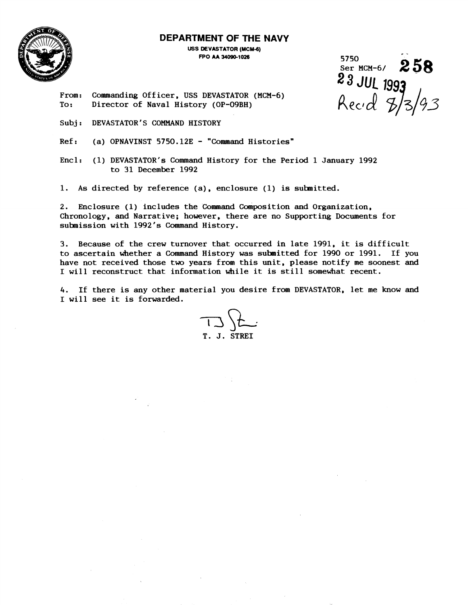

### **DEPARTMENT OF THE NAVY**

**USS DEVASTATOR (MCM-6) FF'O AA U090-1026** 

. - 5750 Ser MCM-6, **2 5 8 23** JUL 199 Recid 8/3/93

From: Commanding Officer, USS DEVASTATOR (MCM-6)<br>To: Director of Naval History (OP-O9BH) Director of Naval History (OP-09BH)

Subj: DEVASTATOR'S COMMAND HISTORY

 $Ref:$  (a) OPNAVINST 5750.12E - "Command Histories"

Encl: (1) DEVASTATOR'S Command History for the Period 1 January 1992 to 31 December 1992

1. As directed by reference (a), enclosure (1) is submitted.

2. Enclosure (1) includes the Command Composition and Organization, Chronology, and Narrative; however, there are no Supporting Documents for suhnission with 1992's Command History.

3. Because of the crew turnover that occurred in late 1991, it is difficult to ascertain whether a Command History was submitted for 1990 or 1991. If you have not received those two years from this unit, please notify me soonest and I will reconstruct that information while it is still somewhat recent.

4. If there is any other material you desire from DEVASTATOR, let me know and 1 will see it is forwarded.

 $732$ T. J. STREI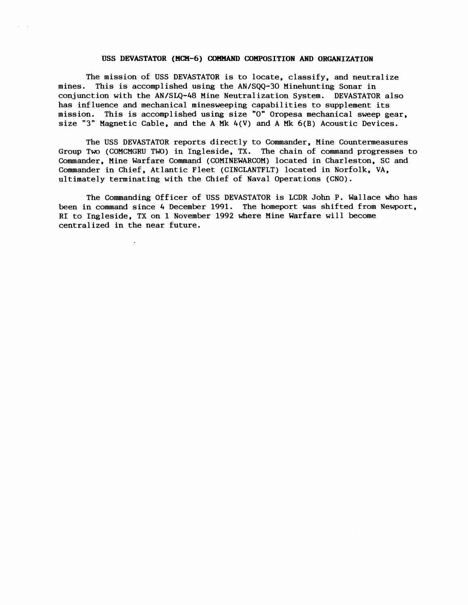#### USS DEVASTATOR (MCM-6) COMMAND COMPOSITION AND ORGANIZATION

The mission of USS DEVASTATOR is to locate, classify, and neutralize mines. This is accomplished using the AN/SQQ-30 Minehunting Sonar in conjunction with the AN/SLQ-48 Mine Neutralization System. DEVASTATOR also has influence and mechanical minesweeping capabilities to supplement its mission. This is accomplished using size "0" Oropesa mechanical sweep gear, size "3" Magnetic Cable, and the A Mk 4(V) and A Mk **6(B)** Acoustic Devices.

The USS DEVASTATOR reports directly to Commander, Mine Countermeasures Group Two (COMCMGRU TWO) in Ingleside, TX. The chain of command progresses to Commander, Mine Warfare Command (COMINEWARCOM) located in Charleston, SC and Commander in Chief, Atlantic Fleet (CINCLANTFLT) located in Norfolk, VA, ultimately terminating with the Chief of Naval Operations (CNO).

The Commanding Officer of USS DEVASTATOR is LCDR John P. Wallace who has been in command since 4 December **1991.** The homeport was shifted from Newport, RI to Ingleside, TX on **1** November 1992 where Mine Warfare will become centralized in the near future.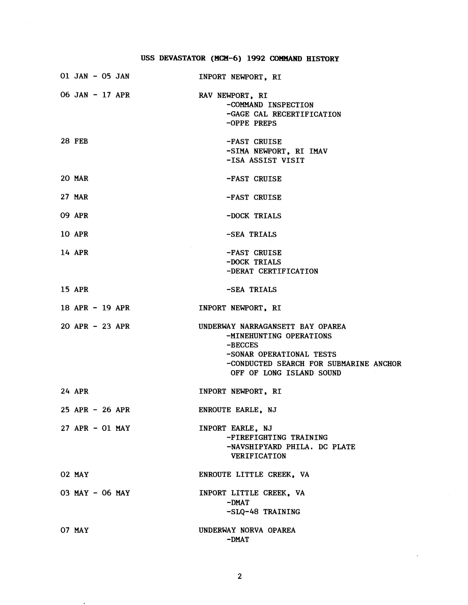# **USS DEVASTATOR (MCM-6) 1992 COMMAND HISTORY**

|               | 01 JAN - 05 JAN   | INPORT NEWPORT, RI                                                                                                                                                         |
|---------------|-------------------|----------------------------------------------------------------------------------------------------------------------------------------------------------------------------|
|               | 06 JAN - 17 APR   | RAV NEWPORT, RI<br>-COMMAND INSPECTION<br>-GAGE CAL RECERTIFICATION<br>-OPPE PREPS                                                                                         |
| <b>28 FEB</b> |                   | -FAST CRUISE<br>-SIMA NEWPORT, RI IMAV<br>-ISA ASSIST VISIT                                                                                                                |
| <b>20 MAR</b> |                   | -FAST CRUISE                                                                                                                                                               |
| <b>27 MAR</b> |                   | -FAST CRUISE                                                                                                                                                               |
| <b>09 APR</b> |                   | -DOCK TRIALS                                                                                                                                                               |
| <b>10 APR</b> |                   | -SEA TRIALS                                                                                                                                                                |
| 14 APR        |                   | -FAST CRUISE<br>-DOCK TRIALS<br>-DERAT CERTIFICATION                                                                                                                       |
| <b>15 APR</b> |                   | -SEA TRIALS                                                                                                                                                                |
|               | 18 APR - 19 APR   | INPORT NEWPORT, RI                                                                                                                                                         |
|               | $20$ APR - 23 APR | UNDERWAY NARRAGANSETT BAY OPAREA<br>-MINEHUNTING OPERATIONS<br>$-BECCES$<br>-SONAR OPERATIONAL TESTS<br>-CONDUCTED SEARCH FOR SUBMARINE ANCHOR<br>OFF OF LONG ISLAND SOUND |
| 24 APR        |                   | INPORT NEWPORT, RI                                                                                                                                                         |
|               | 25 APR - 26 APR   | <b>ENROUTE EARLE, NJ</b>                                                                                                                                                   |
|               | $27$ APR - 01 MAY | INPORT EARLE, NJ<br>-FIREFIGHTING TRAINING<br>-NAVSHIPYARD PHILA. DC PLATE<br><b>VERIFICATION</b>                                                                          |
| 02 MAY        |                   | ENROUTE LITTLE CREEK, VA                                                                                                                                                   |
|               | 03 MAY - 06 MAY   | INPORT LITTLE CREEK, VA<br>$-DMAT$<br>-SLQ-48 TRAINING                                                                                                                     |
| 07 MAY        |                   | UNDERWAY NORVA OPAREA<br>$-DMAT$                                                                                                                                           |

 $\bar{\star}$ 

 $\bar{\bar{z}}$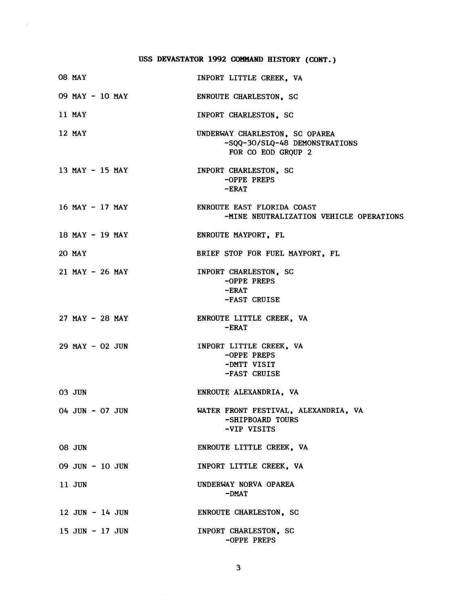# **USS DEVASTATOR 1992 COMMAND HISTORY (CONT.)**

 $\mathcal{A}$ 

| 08 MAY              | INPORT LITTLE CREEK, VA                                                               |
|---------------------|---------------------------------------------------------------------------------------|
| 09 MAY - 10 MAY     | ENROUTE CHARLESTON, SC                                                                |
| 11 MAY              | INPORT CHARLESTON, SC                                                                 |
| 12 MAY              | UNDERWAY CHARLESTON, SC OPAREA<br>-SQQ-30/SLQ-48 DEMONSTRATIONS<br>FOR CO EOD GROUP 2 |
| $13$ MAY - $15$ MAY | INPORT CHARLESTON, SC<br>-OPPE PREPS<br>$-ERAT$                                       |
| $16$ MAY - $17$ MAY | ENROUTE EAST FLORIDA COAST<br>-MINE NEUTRALIZATION VEHICLE OPERATIONS                 |
| 18 MAY - 19 MAY     | ENROUTE MAYPORT, FL                                                                   |
| 20 MAY              | BRIEF STOP FOR FUEL MAYPORT, FL                                                       |
| $21$ MAY - $26$ MAY | INPORT CHARLESTON, SC<br>-OPPE PREPS<br>$-ERAT$<br>-FAST CRUISE                       |
| $27$ MAY - $28$ MAY | ENROUTE LITTLE CREEK, VA<br>$-ERAT$                                                   |
| $29$ MAY - 02 JUN   | INPORT LITTLE CREEK, VA<br>-OPPE PREPS<br>-DMTT VISIT<br>-FAST CRUISE                 |
| 03 JUN              | ENROUTE ALEXANDRIA, VA                                                                |
| 04 JUN - 07 JUN     | WATER FRONT FESTIVAL, ALEXANDRIA, VA<br>-SHIPBOARD TOURS<br>-VIP VISITS               |
| <b>08 JUN</b>       | ENROUTE LITTLE CREEK, VA                                                              |
| 09 JUN - 10 JUN     | INPORT LITTLE CREEK, VA                                                               |
| 11 JUN              | UNDERWAY NORVA OPAREA<br>$-DMAT$                                                      |
| $12$ JUN - $14$ JUN | ENROUTE CHARLESTON, SC                                                                |
| $15$ JUN $-$ 17 JUN | INPORT CHARLESTON, SC<br>-OPPE PREPS                                                  |

 $\mathbf{3}$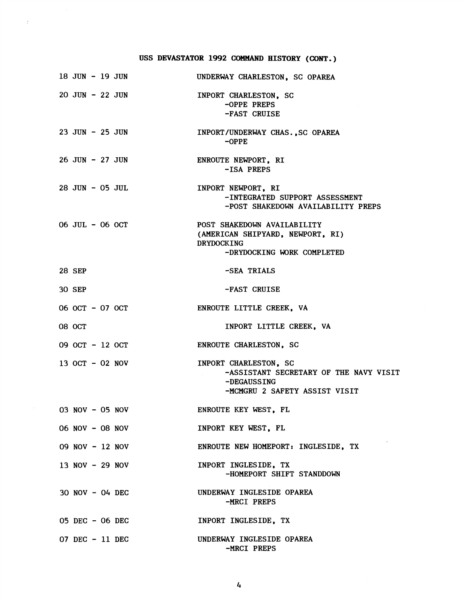## **USS DEVASTATOR 1992 COMMAND HISTORY (CONT.)**

 $\langle \cdot \rangle$ 

| 18 JUN - 19 JUN     |  | UNDERWAY CHARLESTON, SC OPAREA                                                                                     |
|---------------------|--|--------------------------------------------------------------------------------------------------------------------|
| 20 JUN - 22 JUN     |  | INPORT CHARLESTON, SC<br>-OPPE PREPS<br>-FAST CRUISE                                                               |
| $23$ JUN - $25$ JUN |  | INPORT/UNDERWAY CHAS., SC OPAREA<br>$-OPPE$                                                                        |
| 26 JUN - 27 JUN     |  | ENROUTE NEWPORT, RI<br>-ISA PREPS                                                                                  |
| 28 JUN - 05 JUL     |  | INPORT NEWPORT, RI<br>-INTEGRATED SUPPORT ASSESSMENT<br>-POST SHAKEDOWN AVAILABILITY PREPS                         |
| 06 JUL - 06 OCT     |  | POST SHAKEDOWN AVAILABILITY<br>(AMERICAN SHIPYARD, NEWPORT, RI)<br><b>DRYDOCKING</b><br>-DRYDOCKING WORK COMPLETED |
| 28 SEP              |  | -SEA TRIALS                                                                                                        |
| <b>30 SEP</b>       |  | -FAST CRUISE                                                                                                       |
| 06 OCT - 07 OCT     |  | ENROUTE LITTLE CREEK, VA                                                                                           |
| <b>08 OCT</b>       |  | INPORT LITTLE CREEK, VA                                                                                            |
| 09 OCT - 12 OCT     |  | <b>ENROUTE CHARLESTON, SC</b>                                                                                      |
| 13 OCT - 02 NOV     |  | INPORT CHARLESTON, SC<br>-ASSISTANT SECRETARY OF THE NAVY VISIT<br>-DEGAUSSING<br>-MCMGRU 2 SAFETY ASSIST VISIT    |
| $03$ NOV - 05 NOV   |  | ENROUTE KEY WEST. FL                                                                                               |
| 06 NOV - 08 NOV     |  | INPORT KEY WEST, FL                                                                                                |
| 09 NOV - 12 NOV     |  | ENROUTE NEW HOMEPORT: INGLESIDE, TX                                                                                |
| 13 NOV - 29 NOV     |  | INPORT INGLESIDE, TX<br>-HOMEPORT SHIFT STANDDOWN                                                                  |
| $30$ NOV - 04 DEC   |  | UNDERWAY INGLESIDE OPAREA<br>-MRCI PREPS                                                                           |
| 05 DEC - 06 DEC     |  | INPORT INGLESIDE, TX                                                                                               |
| $07$ DEC - 11 DEC   |  | UNDERWAY INGLESIDE OPAREA<br>-MRCI PREPS                                                                           |

 $\frac{1}{4}$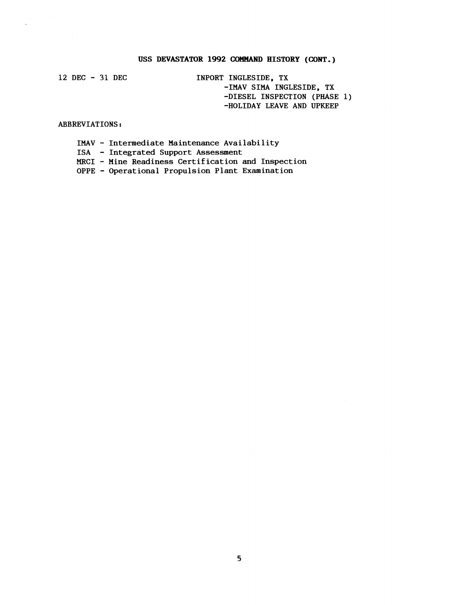### **USS DEVASTATOR 1992 COMMAND HISTORY (CONT.)**

**12 DEC** - **31 DEC** 

 $\overline{a}$ 

**INPORT INGLESIDE, TX -1MAV SIMA INGLESIDE, TX -DIESEL INSPECTION (PHASE 1) -HOLIDAY LEAVE AND UPKEEP** 

**ABBREVIATIONS** :

- **IMAV Intermediate Maintenance Availability**
- **ISA Integrated Support Assessment**
- **MRCI Mine Readiness Certification and Inspection**

**OPPE** - **Operational Propulsion Plant Examination**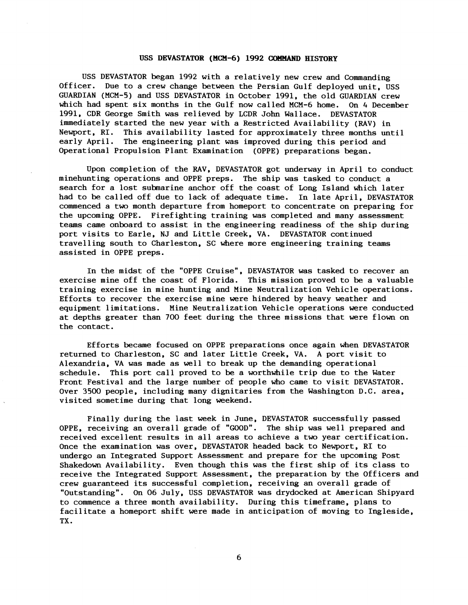#### USS DEVASTATOR (MCM-6) 1992 COMMAND HISTORY

USS DEVASTATOR began 1992 with a relatively new crew and Commanding Officer. Due to a crew change between the Persian Gulf deployed unit, USS GUARDIAN (MCM-5) and USS DEVASTATOR in October 1991, the old GUARDIAN crew which had spent six months in the Gulf now called MCM-6 home. On 4 December 1991, CDR George Smith was relieved by LCDR John Wallace. DEVASTATOR immediately started the new year with a Restricted Availability (RAV) in This availability lasted for approximately three months until early April. The engineering plant was improved during this period and Operational Propulsion Plant Examination (OPPE) preparations began.

Upon completion of the RAV, DEVASTATOR got underway in April to conduct minehunting operations and OPPE preps. The ship was tasked to conduct a search for a lost submarine anchor off the coast of Long Island which later had to be called off due to lack of adequate time. In late April, DEVASTATOR commenced a two month departure from homeport to concentrate on preparing for the upcoming OPPE. Firefighting training was completed and many assessment teams came onboard to assist in the engineering readiness of the ship during port visits to Earle, NJ and Little Creek, VA. DEVASTATOR continued travelling south to Charleston, SC where more engineering training teams assisted in OPPE preps.

In the midst of the "OPPE Cruise", DEVASTATOR was tasked to recover an exercise mine off the coast of Florida. This mission proved to be a valuable training exercise in mine hunting and Mine Neutralization Vehicle operations. Efforts to recover the exercise mine were hindered by heavy weather and equipment limitations. Mine Neutralization Vehicle operations were conducted at depths greater than 700 feet during the three missions that were flown on the contact.

Efforts became focused on OPPE preparations once again when DEVASTATOR returned to Charleston, SC and later Little Creek, VA. A port visit to Alexandria, VA was made as well to break up the demanding operational schedule. This port call proved to be a worthwhile trip due to the Water Front Festival and the large number of people who came to visit DEVASTATOR. Over 3500 people, including many dignitaries from the Washington D.C. area, visited sometime during that long weekend.

Finally during the last week in June, DEVASTATOR successfully passed OPPE, receiving an overall grade of "GOOD". The ship was well prepared and received excellent results in all areas to achieve a two year certification. Once the examination was over, DEVASTATOR headed back to Newport, RI to undergo an Integrated Support Assessment and prepare for the upcoming Post Shakedown Availability. Even though this was the first ship of its class to receive the Integrated Support Assessment, the preparation by the Officers and crew guaranteed its successful completion, receiving an overall grade of "Outstanding". On 06 July, USS DEVASTATOR was drydocked at American Shipyard to commence a three month availability. During this timeframe, plans to facilitate a homeport shift were made in anticipation of moving to Ingleside, TX .

6